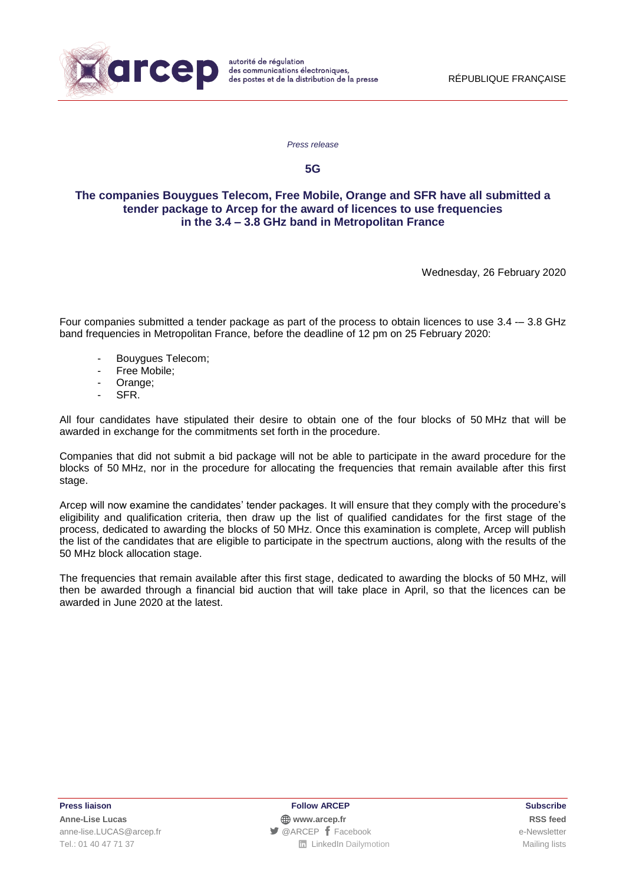

*Press release*

**5G**

## **The companies Bouygues Telecom, Free Mobile, Orange and SFR have all submitted a tender package to Arcep for the award of licences to use frequencies in the 3.4 – 3.8 GHz band in Metropolitan France**

Wednesday, 26 February 2020

Four companies submitted a tender package as part of the process to obtain licences to use 3.4 -– 3.8 GHz band frequencies in Metropolitan France, before the deadline of 12 pm on 25 February 2020:

- Bouygues Telecom;
- Free Mobile;
- Orange;
- SFR.

All four candidates have stipulated their desire to obtain one of the four blocks of 50 MHz that will be awarded in exchange for the commitments set forth in the procedure.

Companies that did not submit a bid package will not be able to participate in the award procedure for the blocks of 50 MHz, nor in the procedure for allocating the frequencies that remain available after this first stage.

Arcep will now examine the candidates' tender packages. It will ensure that they comply with the procedure's eligibility and qualification criteria, then draw up the list of qualified candidates for the first stage of the process, dedicated to awarding the blocks of 50 MHz. Once this examination is complete, Arcep will publish the list of the candidates that are eligible to participate in the spectrum auctions, along with the results of the 50 MHz block allocation stage.

The frequencies that remain available after this first stage, dedicated to awarding the blocks of 50 MHz, will then be awarded through a financial bid auction that will take place in April, so that the licences can be awarded in June 2020 at the latest.

**Press liaison Follow ARCEP Subscribe Anne-Lise Lucas [www.arcep.fr](http://www.arcep.fr/) [RSS](file:///C:/feed/::www.arcep.fr:%3feID=tx_rssforge&feedid=2&h=14df1) feed** [anne-lise.LUCAS@arcep.fr](mailto:anne-lise.LUCAS@arcep.fr) **[@ARCEP](http://www.twitter.com/ARCEP) F** [Facebook](https://www.facebook.com/arcep.fr) e-Newsletter